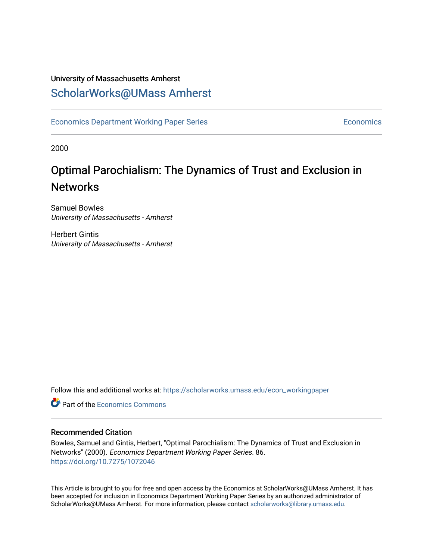## University of Massachusetts Amherst [ScholarWorks@UMass Amherst](https://scholarworks.umass.edu/)

[Economics Department Working Paper Series](https://scholarworks.umass.edu/econ_workingpaper) **Economics** Economics

2000

# Optimal Parochialism: The Dynamics of Trust and Exclusion in **Networks**

Samuel Bowles University of Massachusetts - Amherst

Herbert Gintis University of Massachusetts - Amherst

Follow this and additional works at: [https://scholarworks.umass.edu/econ\\_workingpaper](https://scholarworks.umass.edu/econ_workingpaper?utm_source=scholarworks.umass.edu%2Fecon_workingpaper%2F86&utm_medium=PDF&utm_campaign=PDFCoverPages) 

**C** Part of the [Economics Commons](http://network.bepress.com/hgg/discipline/340?utm_source=scholarworks.umass.edu%2Fecon_workingpaper%2F86&utm_medium=PDF&utm_campaign=PDFCoverPages)

#### Recommended Citation

Bowles, Samuel and Gintis, Herbert, "Optimal Parochialism: The Dynamics of Trust and Exclusion in Networks" (2000). Economics Department Working Paper Series. 86. <https://doi.org/10.7275/1072046>

This Article is brought to you for free and open access by the Economics at ScholarWorks@UMass Amherst. It has been accepted for inclusion in Economics Department Working Paper Series by an authorized administrator of ScholarWorks@UMass Amherst. For more information, please contact [scholarworks@library.umass.edu.](mailto:scholarworks@library.umass.edu)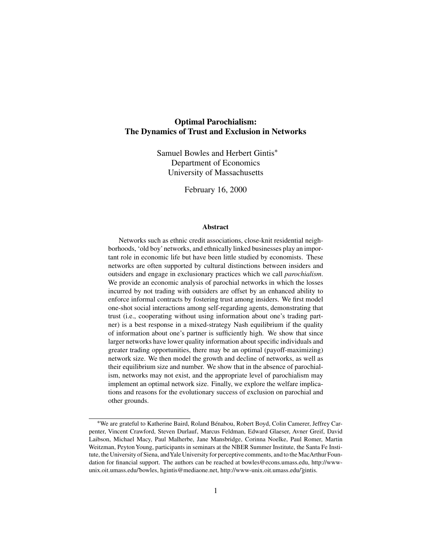### **Optimal Parochialism: The Dynamics of Trust and Exclusion in Networks**

Samuel Bowles and Herbert Gintis<sup>∗</sup> Department of Economics University of Massachusetts

February 16, 2000

#### **Abstract**

Networks such as ethnic credit associations, close-knit residential neighborhoods, 'old boy'networks, and ethnically linked businesses play an important role in economic life but have been little studied by economists. These networks are often supported by cultural distinctions between insiders and outsiders and engage in exclusionary practices which we call *parochialism*. We provide an economic analysis of parochial networks in which the losses incurred by not trading with outsiders are offset by an enhanced ability to enforce informal contracts by fostering trust among insiders. We first model one-shot social interactions among self-regarding agents, demonstrating that trust (i.e., cooperating without using information about one's trading partner) is a best response in a mixed-strategy Nash equilibrium if the quality of information about one's partner is sufficiently high. We show that since larger networks have lower quality information about specific individuals and greater trading opportunities, there may be an optimal (payoff-maximizing) network size. We then model the growth and decline of networks, as well as their equilibrium size and number. We show that in the absence of parochialism, networks may not exist, and the appropriate level of parochialism may implement an optimal network size. Finally, we explore the welfare implications and reasons for the evolutionary success of exclusion on parochial and other grounds.

<sup>∗</sup>We are grateful to Katherine Baird, Roland Bénabou, Robert Boyd, Colin Camerer, Jeffrey Carpenter, Vincent Crawford, Steven Durlauf, Marcus Feldman, Edward Glaeser, Avner Greif, David Laibson, Michael Macy, Paul Malherbe, Jane Mansbridge, Corinna Noelke, Paul Romer, Martin Weitzman, Peyton Young, participants in seminars at the NBER Summer Institute, the Santa Fe Institute, the University of Siena, andYale University for perceptive comments, and to the MacArthur Foundation for financial support. The authors can be reached at bowles@econs.umass.edu, http://wwwunix.oit.umass.edu/bowles, hgintis@mediaone.net, http://www-unix.oit.umass.edu/gintis.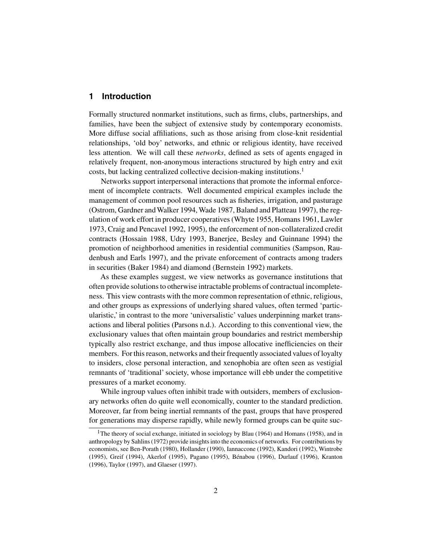#### **1 Introduction**

Formally structured nonmarket institutions, such as firms, clubs, partnerships, and families, have been the subject of extensive study by contemporary economists. More diffuse social affiliations, such as those arising from close-knit residential relationships, 'old boy' networks, and ethnic or religious identity, have received less attention. We will call these *networks*, defined as sets of agents engaged in relatively frequent, non-anonymous interactions structured by high entry and exit costs, but lacking centralized collective decision-making institutions.<sup>1</sup>

Networks support interpersonal interactions that promote the informal enforcement of incomplete contracts. Well documented empirical examples include the management of common pool resources such as fisheries, irrigation, and pasturage (Ostrom, Gardner and Walker 1994, Wade 1987, Baland and Platteau 1997), the regulation of work effort in producer cooperatives (Whyte 1955, Homans 1961, Lawler 1973, Craig and Pencavel 1992, 1995), the enforcement of non-collateralized credit contracts (Hossain 1988, Udry 1993, Banerjee, Besley and Guinnane 1994) the promotion of neighborhood amenities in residential communities (Sampson, Raudenbush and Earls 1997), and the private enforcement of contracts among traders in securities (Baker 1984) and diamond (Bernstein 1992) markets.

As these examples suggest, we view networks as governance institutions that often provide solutions to otherwise intractable problems of contractual incompleteness. This view contrasts with the more common representation of ethnic, religious, and other groups as expressions of underlying shared values, often termed 'particularistic,' in contrast to the more 'universalistic' values underpinning market transactions and liberal polities (Parsons n.d.). According to this conventional view, the exclusionary values that often maintain group boundaries and restrict membership typically also restrict exchange, and thus impose allocative inefficiencies on their members. For this reason, networks and their frequently associated values of loyalty to insiders, close personal interaction, and xenophobia are often seen as vestigial remnants of 'traditional' society, whose importance will ebb under the competitive pressures of a market economy.

While ingroup values often inhibit trade with outsiders, members of exclusionary networks often do quite well economically, counter to the standard prediction. Moreover, far from being inertial remnants of the past, groups that have prospered for generations may disperse rapidly, while newly formed groups can be quite suc-

<sup>&</sup>lt;sup>1</sup>The theory of social exchange, initiated in sociology by Blau (1964) and Homans (1958), and in anthropology by Sahlins (1972) provide insights into the economics of networks. For contributions by economists, see Ben-Porath (1980), Hollander (1990), Iannaccone (1992), Kandori (1992), Wintrobe (1995), Greif (1994), Akerlof (1995), Pagano (1995), Bénabou (1996), Durlauf (1996), Kranton (1996), Taylor (1997), and Glaeser (1997).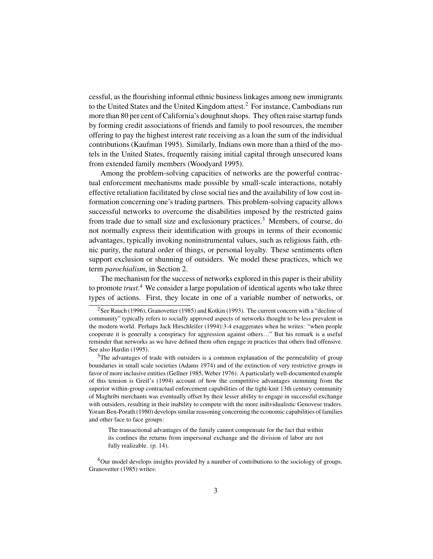cessful, as the flourishing informal ethnic business linkages among new immigrants to the United States and the United Kingdom attest.<sup>2</sup> For instance, Cambodians run more than 80 per cent of California's doughnut shops. They often raise startup funds by forming credit associations of friends and family to pool resources, the member offering to pay the highest interest rate receiving as a loan the sum of the individual contributions (Kaufman 1995). Similarly, Indians own more than a third of the motels in the United States, frequently raising initial capital through unsecured loans from extended family members (Woodyard 1995).

Among the problem-solving capacities of networks are the powerful contractual enforcement mechanisms made possible by small-scale interactions, notably effective retaliation facilitated by close social ties and the availability of low cost information concerning one's trading partners. This problem-solving capacity allows successful networks to overcome the disabilities imposed by the restricted gains from trade due to small size and exclusionary practices.<sup>3</sup> Members, of course, do not normally express their identification with groups in terms of their economic advantages, typically invoking noninstrumental values, such as religious faith, ethnic purity, the natural order of things, or personal loyalty. These sentiments often support exclusion or shunning of outsiders. We model these practices, which we term *parochialism*, in Section 2.

The mechanism for the success of networks explored in this paper is their ability to promote *trust*. <sup>4</sup> We consider a large population of identical agents who take three types of actions. First, they locate in one of a variable number of networks, or

The transactional advantages of the family cannot compensate for the fact that within its confines the returns from impersonal exchange and the division of labor are not fully realizable. (p. 14).

 $4$ Our model develops insights provided by a number of contributions to the sociology of groups. Granovetter (1985) writes:

<sup>&</sup>lt;sup>2</sup>See Rauch (1996), Granovetter (1985) and Kotkin (1993). The current concern with a "decline of community" typically refers to socially approved aspects of networks thought to be less prevalent in the modern world. Perhaps Jack Hirschleifer (1994):3-4 exaggerates when he writes: "when people cooperate it is generally a conspiracy for aggression against others…" But his remark is a useful reminder that networks as we have defined them often engage in practices that others find offensive. See also Hardin (1995).

<sup>&</sup>lt;sup>3</sup>The advantages of trade with outsiders is a common explanation of the permeability of group boundaries in small scale societies (Adams 1974) and of the extinction of very restrictive groups in favor of more inclusive entities (Gellner 1985, Weber 1976). A particularly well-documented example of this tension is Greif's (1994) account of how the competitive advantages stemming from the superior within-group contractual enforcement capabilities of the tight-knit 13th century community of Maghribi merchants was eventually offset by their lesser ability to engage in successful exchange with outsiders, resulting in their inability to compete with the more individualistic Genovese traders. Yoram Ben-Porath (1980) develops similar reasoning concerning the economic capabilities of families and other face to face groups: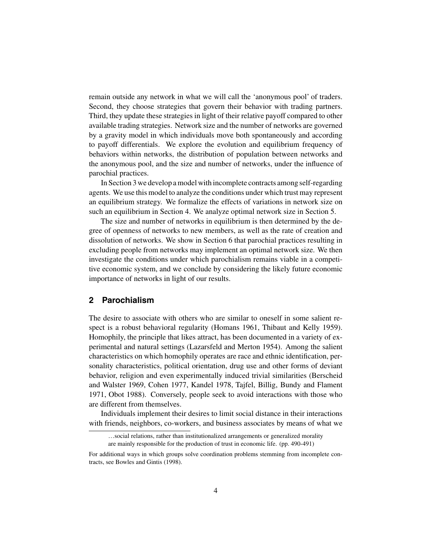remain outside any network in what we will call the 'anonymous pool' of traders. Second, they choose strategies that govern their behavior with trading partners. Third, they update these strategies in light of their relative payoff compared to other available trading strategies. Network size and the number of networks are governed by a gravity model in which individuals move both spontaneously and according to payoff differentials. We explore the evolution and equilibrium frequency of behaviors within networks, the distribution of population between networks and the anonymous pool, and the size and number of networks, under the influence of parochial practices.

In Section 3 we develop a model with incomplete contracts among self-regarding agents. We use this model to analyze the conditions under which trust may represent an equilibrium strategy. We formalize the effects of variations in network size on such an equilibrium in Section 4. We analyze optimal network size in Section 5.

The size and number of networks in equilibrium is then determined by the degree of openness of networks to new members, as well as the rate of creation and dissolution of networks. We show in Section 6 that parochial practices resulting in excluding people from networks may implement an optimal network size. We then investigate the conditions under which parochialism remains viable in a competitive economic system, and we conclude by considering the likely future economic importance of networks in light of our results.

#### **2 Parochialism**

The desire to associate with others who are similar to oneself in some salient respect is a robust behavioral regularity (Homans 1961, Thibaut and Kelly 1959). Homophily, the principle that likes attract, has been documented in a variety of experimental and natural settings (Lazarsfeld and Merton 1954). Among the salient characteristics on which homophily operates are race and ethnic identification, personality characteristics, political orientation, drug use and other forms of deviant behavior, religion and even experimentally induced trivial similarities (Berscheid and Walster 1969, Cohen 1977, Kandel 1978, Tajfel, Billig, Bundy and Flament 1971, Obot 1988). Conversely, people seek to avoid interactions with those who are different from themselves.

Individuals implement their desires to limit social distance in their interactions with friends, neighbors, co-workers, and business associates by means of what we

<sup>…</sup>social relations, rather than institutionalized arrangements or generalized morality are mainly responsible for the production of trust in economic life. (pp. 490-491)

For additional ways in which groups solve coordination problems stemming from incomplete contracts, see Bowles and Gintis (1998).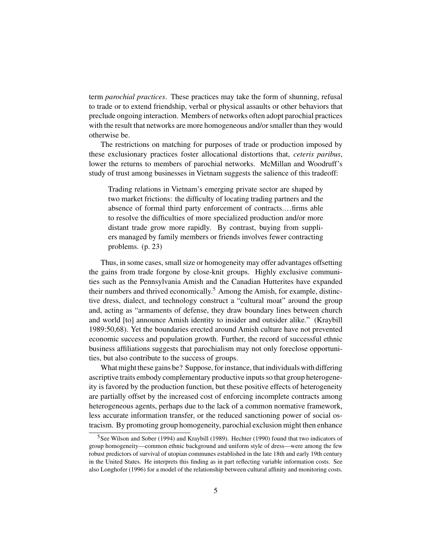term *parochial practices*. These practices may take the form of shunning, refusal to trade or to extend friendship, verbal or physical assaults or other behaviors that preclude ongoing interaction. Members of networks often adopt parochial practices with the result that networks are more homogeneous and/or smaller than they would otherwise be.

The restrictions on matching for purposes of trade or production imposed by these exclusionary practices foster allocational distortions that, *ceteris paribus*, lower the returns to members of parochial networks. McMillan and Woodruff's study of trust among businesses in Vietnam suggests the salience of this tradeoff:

Trading relations in Vietnam's emerging private sector are shaped by two market frictions: the difficulty of locating trading partners and the absence of formal third party enforcement of contracts.…firms able to resolve the difficulties of more specialized production and/or more distant trade grow more rapidly. By contrast, buying from suppliers managed by family members or friends involves fewer contracting problems. (p. 23)

Thus, in some cases, small size or homogeneity may offer advantages offsetting the gains from trade forgone by close-knit groups. Highly exclusive communities such as the Pennsylvania Amish and the Canadian Hutterites have expanded their numbers and thrived economically.<sup>5</sup> Among the Amish, for example, distinctive dress, dialect, and technology construct a "cultural moat" around the group and, acting as "armaments of defense, they draw boundary lines between church and world [to] announce Amish identity to insider and outsider alike." (Kraybill 1989:50,68). Yet the boundaries erected around Amish culture have not prevented economic success and population growth. Further, the record of successful ethnic business affiliations suggests that parochialism may not only foreclose opportunities, but also contribute to the success of groups.

What might these gains be? Suppose, for instance, that individuals with differing ascriptive traits embody complementary productive inputs so that group heterogeneity is favored by the production function, but these positive effects of heterogeneity are partially offset by the increased cost of enforcing incomplete contracts among heterogeneous agents, perhaps due to the lack of a common normative framework, less accurate information transfer, or the reduced sanctioning power of social ostracism. By promoting group homogeneity, parochial exclusion might then enhance

<sup>5</sup>See Wilson and Sober (1994) and Kraybill (1989). Hechter (1990) found that two indicators of group homogeneity—common ethnic background and uniform style of dress—were among the few robust predictors of survival of utopian communes established in the late 18th and early 19th century in the United States. He interprets this finding as in part reflecting variable information costs. See also Longhofer (1996) for a model of the relationship between cultural affinity and monitoring costs.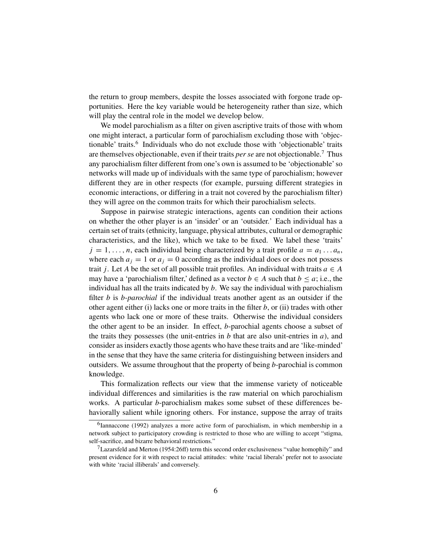the return to group members, despite the losses associated with forgone trade opportunities. Here the key variable would be heterogeneity rather than size, which will play the central role in the model we develop below.

We model parochialism as a filter on given ascriptive traits of those with whom one might interact, a particular form of parochialism excluding those with 'objectionable' traits.<sup>6</sup> Individuals who do not exclude those with 'objectionable' traits are themselves objectionable, even if their traits *per se* are not objectionable.<sup>7</sup> Thus any parochialism filter different from one's own is assumed to be 'objectionable' so networks will made up of individuals with the same type of parochialism; however different they are in other respects (for example, pursuing different strategies in economic interactions, or differing in a trait not covered by the parochialism filter) they will agree on the common traits for which their parochialism selects.

Suppose in pairwise strategic interactions, agents can condition their actions on whether the other player is an 'insider' or an 'outsider.' Each individual has a certain set of traits (ethnicity, language, physical attributes, cultural or demographic characteristics, and the like), which we take to be fixed. We label these 'traits'  $j = 1, \ldots, n$ , each individual being characterized by a trait profile  $a = a_1 \ldots a_n$ , where each  $a_i = 1$  or  $a_i = 0$  according as the individual does or does not possess trait j. Let A be the set of all possible trait profiles. An individual with traits  $a \in A$ may have a 'parochialism filter,' defined as a vector  $b \in A$  such that  $b \le a$ ; i.e., the individual has all the traits indicated by  $b$ . We say the individual with parochialism filter b is b-*parochial* if the individual treats another agent as an outsider if the other agent either (i) lacks one or more traits in the filter  $b$ , or (ii) trades with other agents who lack one or more of these traits. Otherwise the individual considers the other agent to be an insider. In effect, b-parochial agents choose a subset of the traits they possesses (the unit-entries in b that are also unit-entries in  $a$ ), and consider as insiders exactly those agents who have these traits and are 'like-minded' in the sense that they have the same criteria for distinguishing between insiders and outsiders. We assume throughout that the property of being *b*-parochial is common knowledge.

This formalization reflects our view that the immense variety of noticeable individual differences and similarities is the raw material on which parochialism works. A particular *b*-parochialism makes some subset of these differences behaviorally salient while ignoring others. For instance, suppose the array of traits

 $6$ Iannaccone (1992) analyzes a more active form of parochialism, in which membership in a network subject to participatory crowding is restricted to those who are willing to accept "stigma, self-sacrifice, and bizarre behavioral restrictions."

 $7$ Lazarsfeld and Merton (1954:26ff) term this second order exclusiveness "value homophily" and present evidence for it with respect to racial attitudes: white 'racial liberals' prefer not to associate with white 'racial illiberals' and conversely.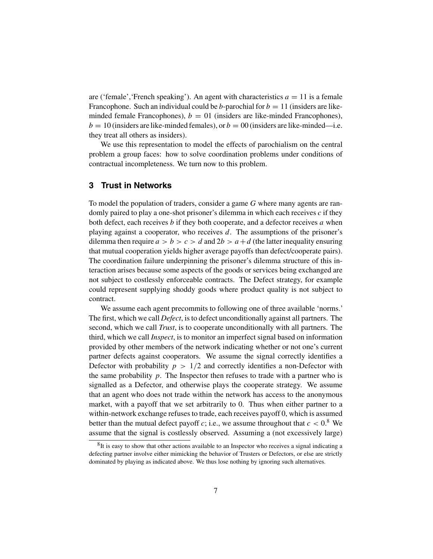are ('female','French speaking'). An agent with characteristics  $a = 11$  is a female Francophone. Such an individual could be *b*-parochial for  $b = 11$  (insiders are likeminded female Francophones),  $b = 01$  (insiders are like-minded Francophones),  $b = 10$  (insiders are like-minded females), or  $b = 00$  (insiders are like-minded—i.e. they treat all others as insiders).

We use this representation to model the effects of parochialism on the central problem a group faces: how to solve coordination problems under conditions of contractual incompleteness. We turn now to this problem.

#### **3 Trust in Networks**

To model the population of traders, consider a game G where many agents are randomly paired to play a one-shot prisoner's dilemma in which each receives  $c$  if they both defect, each receives  $b$  if they both cooperate, and a defector receives  $a$  when playing against a cooperator, who receives  $d$ . The assumptions of the prisoner's dilemma then require  $a > b > c > d$  and  $2b > a+d$  (the latter inequality ensuring that mutual cooperation yields higher average payoffs than defect/cooperate pairs). The coordination failure underpinning the prisoner's dilemma structure of this interaction arises because some aspects of the goods or services being exchanged are not subject to costlessly enforceable contracts. The Defect strategy, for example could represent supplying shoddy goods where product quality is not subject to contract.

We assume each agent precommits to following one of three available 'norms.' The first, which we call *Defect*, is to defect unconditionally against all partners. The second, which we call *Trust*, is to cooperate unconditionally with all partners. The third, which we call *Inspect*, is to monitor an imperfect signal based on information provided by other members of the network indicating whether or not one's current partner defects against cooperators. We assume the signal correctly identifies a Defector with probability  $p > 1/2$  and correctly identifies a non-Defector with the same probability  $p$ . The Inspector then refuses to trade with a partner who is signalled as a Defector, and otherwise plays the cooperate strategy. We assume that an agent who does not trade within the network has access to the anonymous market, with a payoff that we set arbitrarily to 0. Thus when either partner to a within-network exchange refuses to trade, each receives payoff 0, which is assumed better than the mutual defect payoff c; i.e., we assume throughout that  $c < 0.8$  We assume that the signal is costlessly observed. Assuming a (not excessively large)

<sup>&</sup>lt;sup>8</sup>It is easy to show that other actions available to an Inspector who receives a signal indicating a defecting partner involve either mimicking the behavior of Trusters or Defectors, or else are strictly dominated by playing as indicated above. We thus lose nothing by ignoring such alternatives.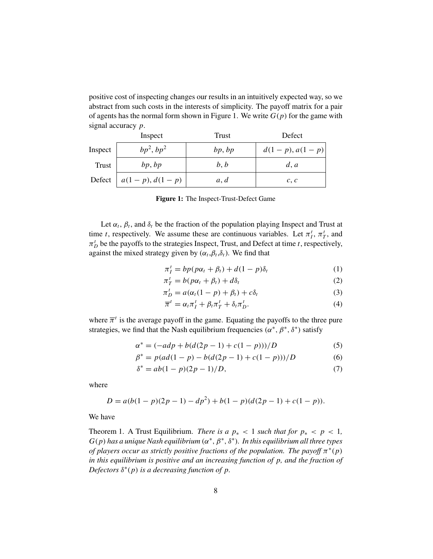positive cost of inspecting changes our results in an intuitively expected way, so we abstract from such costs in the interests of simplicity. The payoff matrix for a pair of agents has the normal form shown in Figure 1. We write  $G(p)$  for the game with signal accuracy *p*.

|              | Inspect          | <b>Trust</b> | Defect           |
|--------------|------------------|--------------|------------------|
| Inspect      | $bp^2, bp^2$     | bp, bp       | $d(1-p), a(1-p)$ |
| <b>Trust</b> | bp, bp           | b, b         | d, a             |
| Defect       | $a(1-p), d(1-p)$ | a, d         | c, c             |

**Figure 1:** The Inspect-Trust-Defect Game

Let  $\alpha_t$ ,  $\beta_t$ , and  $\delta_t$  be the fraction of the population playing Inspect and Trust at time t, respectively. We assume these are continuous variables. Let  $\pi_I^t$ ,  $\pi_I^t$ , and  $\pi_D^t$  be the payoffs to the strategies Inspect, Trust, and Defect at time t, respectively, against the mixed strategy given by  $(\alpha_t, \beta_t, \delta_t)$ . We find that

$$
\pi_I^t = bp(p\alpha_t + \beta_t) + d(1 - p)\delta_t \tag{1}
$$

$$
\pi^t = b(p\alpha_t + \beta_t) + d\delta_t \tag{2}
$$

$$
\pi_D^t = a(\alpha_t(1-p) + \beta_t) + c\delta_t \tag{3}
$$

$$
\overline{\pi}^t = \alpha_t \pi_I^t + \beta_t \pi_T^t + \delta_t \pi_D^t. \tag{4}
$$

where  $\overline{\pi}^t$  is the average payoff in the game. Equating the payoffs to the three pure strategies, we find that the Nash equilibrium frequencies ( $\alpha^*, \beta^*, \delta^*$ ) satisfy

$$
\alpha^* = (-adp + b(d(2p - 1) + c(1 - p)))/D \tag{5}
$$

$$
\beta^* = p(ad(1-p) - b(d(2p - 1) + c(1 - p)))/D \tag{6}
$$

$$
\delta^* = ab(1 - p)(2p - 1)/D,\tag{7}
$$

where

$$
D = a(b(1 - p)(2p - 1) - dp2) + b(1 - p)(d(2p - 1) + c(1 - p)).
$$

We have

Theorem 1. A Trust Equilibrium. *There is a*  $p_* < 1$  *such that for*  $p_* < p < 1$ *,* G(p) *has a unique Nash equilibrium* (α<sup>∗</sup>, β<sup>∗</sup>, δ<sup>∗</sup>)*. In this equilibrium all three types of players occur as strictly positive fractions of the population. The payoff*  $\pi^*(p)$ *in this equilibrium is positive and an increasing function of* p*, and the fraction of Defectors*  $\delta^*(p)$  *is a decreasing function of*  $p$ *.*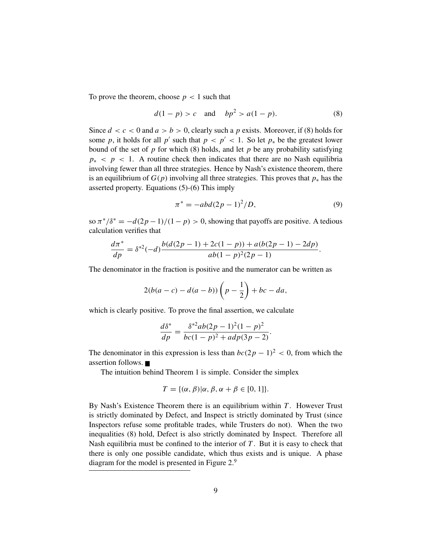To prove the theorem, choose  $p < 1$  such that

$$
d(1-p) > c \quad \text{and} \quad bp^2 > a(1-p). \tag{8}
$$

Since  $d < c < 0$  and  $a > b > 0$ , clearly such a p exists. Moreover, if (8) holds for some p, it holds for all p' such that  $p < p' < 1$ . So let  $p_*$  be the greatest lower bound of the set of  $p$  for which (8) holds, and let  $p$  be any probability satisfying  $p_* < p < 1$ . A routine check then indicates that there are no Nash equilibria involving fewer than all three strategies. Hence by Nash's existence theorem, there is an equilibrium of  $G(p)$  involving all three strategies. This proves that  $p_*$  has the asserted property. Equations (5)-(6) This imply

$$
\pi^* = -abd(2p - 1)^2/D,\tag{9}
$$

so  $\pi^*/\delta^* = -d(2p-1)/(1-p) > 0$ , showing that payoffs are positive. A tedious calculation verifies that

$$
\frac{d\pi^*}{dp} = \delta^{*2}(-d)\frac{b(d(2p-1) + 2c(1-p)) + a(b(2p-1) - 2dp)}{ab(1-p)^2(2p-1)}.
$$

The denominator in the fraction is positive and the numerator can be written as

$$
2(b(a-c)-d(a-b))\left(p-\frac{1}{2}\right)+bc-da,
$$

which is clearly positive. To prove the final assertion, we calculate

$$
\frac{d\delta^*}{dp} = \frac{\delta^{*2}ab(2p-1)^2(1-p)^2}{bc(1-p)^2 + adp(3p-2)}.
$$

The denominator in this expression is less than  $bc(2p - 1)^2 < 0$ , from which the assertion follows.

The intuition behind Theorem 1 is simple. Consider the simplex

$$
T = \{(\alpha, \beta) | \alpha, \beta, \alpha + \beta \in [0, 1]\}.
$$

By Nash's Existence Theorem there is an equilibrium within  $T$ . However Trust is strictly dominated by Defect, and Inspect is strictly dominated by Trust (since Inspectors refuse some profitable trades, while Trusters do not). When the two inequalities (8) hold, Defect is also strictly dominated by Inspect. Therefore all Nash equilibria must be confined to the interior of  $T$ . But it is easy to check that there is only one possible candidate, which thus exists and is unique. A phase diagram for the model is presented in Figure 2.<sup>9</sup>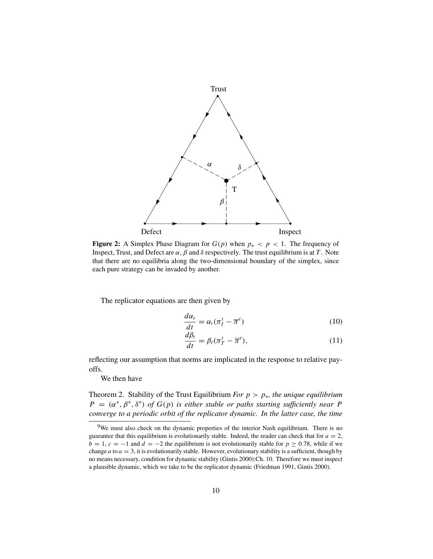

**Figure 2:** A Simplex Phase Diagram for  $G(p)$  when  $p_* < p < 1$ . The frequency of Inspect, Trust, and Defect are  $\alpha$ ,  $\beta$  and  $\delta$  respectively. The trust equilibrium is at T. Note that there are no equilibria along the two-dimensional boundary of the simplex, since each pure strategy can be invaded by another.

The replicator equations are then given by

$$
\frac{d\alpha_t}{dt} = \alpha_t (\pi_I^t - \overline{\pi}^t)
$$
\n(10)

$$
\frac{d\beta_t}{dt} = \beta_t (\pi_T^t - \overline{\pi}^t),\tag{11}
$$

reflecting our assumption that norms are implicated in the response to relative payoffs.

We then have

Theorem 2. Stability of the Trust Equilibrium *For* p>p∗*, the unique equilibrium*  $P = (\alpha^*, \beta^*, \delta^*)$  *of*  $G(p)$  *is either stable or paths starting sufficiently near* P *converge to a periodic orbit of the replicator dynamic. In the latter case, the time*

<sup>&</sup>lt;sup>9</sup>We must also check on the dynamic properties of the interior Nash equilibrium. There is no guarantee that this equilibrium is evolutionarily stable. Indeed, the reader can check that for  $a = 2$ ,  $b = 1$ ,  $c = -1$  and  $d = -2$  the equilibrium is not evolutionarily stable for  $p > 0.78$ , while if we change  $a$  to  $a = 3$ , it is evolutionarily stable. However, evolutionary stability is a sufficient, though by no means necessary, condition for dynamic stability (Gintis 2000):Ch. 10. Therefore we must inspect a plausible dynamic, which we take to be the replicator dynamic (Friedman 1991, Gintis 2000).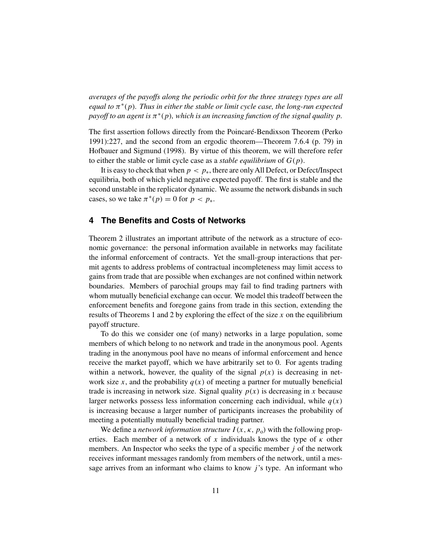*averages of the payoffs along the periodic orbit for the three strategy types are all equal to*  $\pi^*(p)$ *. Thus in either the stable or limit cycle case, the long-run expected payoff to an agent is*  $\pi^*(p)$ *, which is an increasing function of the signal quality* p.

The first assertion follows directly from the Poincaré-Bendixson Theorem (Perko 1991):227, and the second from an ergodic theorem—Theorem 7.6.4 (p. 79) in Hofbauer and Sigmund (1998). By virtue of this theorem, we will therefore refer to either the stable or limit cycle case as a *stable equilibrium* of G(p).

It is easy to check that when  $p < p_{*}$ , there are only All Defect, or Defect/Inspect equilibria, both of which yield negative expected payoff. The first is stable and the second unstable in the replicator dynamic. We assume the network disbands in such cases, so we take  $\pi^*(p) = 0$  for  $p < p_*$ .

#### **4 The Benefits and Costs of Networks**

Theorem 2 illustrates an important attribute of the network as a structure of economic governance: the personal information available in networks may facilitate the informal enforcement of contracts. Yet the small-group interactions that permit agents to address problems of contractual incompleteness may limit access to gains from trade that are possible when exchanges are not confined within network boundaries. Members of parochial groups may fail to find trading partners with whom mutually beneficial exchange can occur. We model this tradeoff between the enforcement benefits and foregone gains from trade in this section, extending the results of Theorems 1 and 2 by exploring the effect of the size  $x$  on the equilibrium payoff structure.

To do this we consider one (of many) networks in a large population, some members of which belong to no network and trade in the anonymous pool. Agents trading in the anonymous pool have no means of informal enforcement and hence receive the market payoff, which we have arbitrarily set to 0. For agents trading within a network, however, the quality of the signal  $p(x)$  is decreasing in network size x, and the probability  $q(x)$  of meeting a partner for mutually beneficial trade is increasing in network size. Signal quality  $p(x)$  is decreasing in x because larger networks possess less information concerning each individual, while  $q(x)$ is increasing because a larger number of participants increases the probability of meeting a potentially mutually beneficial trading partner.

We define a *network information structure*  $I(x, \kappa, p_0)$  with the following properties. Each member of a network of x individuals knows the type of  $\kappa$  other members. An Inspector who seeks the type of a specific member j of the network receives informant messages randomly from members of the network, until a message arrives from an informant who claims to know  $j$ 's type. An informant who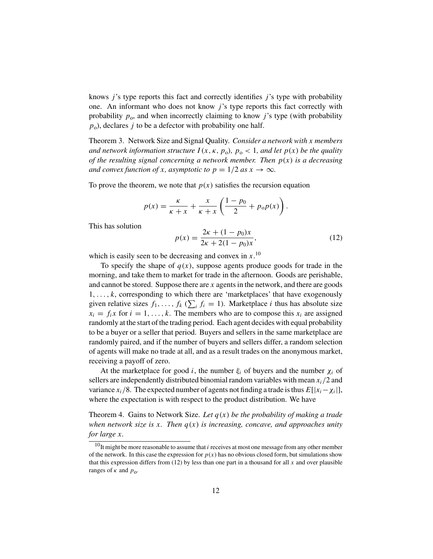knows  $j$ 's type reports this fact and correctly identifies  $j$ 's type with probability one. An informant who does not know  $j$ 's type reports this fact correctly with probability  $p_0$ , and when incorrectly claiming to know j's type (with probability  $p_0$ ), declares *j* to be a defector with probability one half.

Theorem 3. Network Size and Signal Quality. *Consider a network with* x *members and network information structure*  $I(x, \kappa, p_0)$ ,  $p_0 < 1$ , and let  $p(x)$  be the quality *of the resulting signal concerning a network member. Then* p(x) *is a decreasing and convex function of x, asymptotic to*  $p = 1/2$  *as*  $x \to \infty$ *.* 

To prove the theorem, we note that  $p(x)$  satisfies the recursion equation

$$
p(x) = \frac{\kappa}{\kappa + x} + \frac{x}{\kappa + x} \left( \frac{1 - p_0}{2} + p_0 p(x) \right).
$$

This has solution

$$
p(x) = \frac{2\kappa + (1 - p_0)x}{2\kappa + 2(1 - p_0)x},
$$
\n(12)

which is easily seen to be decreasing and convex in  $x$ .<sup>10</sup>

To specify the shape of  $q(x)$ , suppose agents produce goods for trade in the morning, and take them to market for trade in the afternoon. Goods are perishable, and cannot be stored. Suppose there are x agents in the network, and there are goods 1,...,k, corresponding to which there are 'marketplaces' that have exogenously given relative sizes  $f_1, \ldots, f_k$  ( $\sum_i f_i = 1$ ). Marketplace *i* thus has absolute size  $x_i = f_i x$  for  $i = 1, ..., k$ . The members who are to compose this  $x_i$  are assigned randomly at the start of the trading period. Each agent decides with equal probability to be a buyer or a seller that period. Buyers and sellers in the same marketplace are randomly paired, and if the number of buyers and sellers differ, a random selection of agents will make no trade at all, and as a result trades on the anonymous market, receiving a payoff of zero.

At the marketplace for good *i*, the number  $\xi_i$  of buyers and the number  $\chi_i$  of sellers are independently distributed binomial random variables with mean  $x_i/2$  and variance  $x_i/8$ . The expected number of agents not finding a trade is thus  $E[|x_i - x_i|]$ , where the expectation is with respect to the product distribution. We have

Theorem 4. Gains to Network Size. *Let* q(x) *be the probability of making a trade when network size is* x*. Then* q(x) *is increasing, concave, and approaches unity for large* x*.*

<sup>&</sup>lt;sup>10</sup>It might be more reasonable to assume that *i* receives at most one message from any other member of the network. In this case the expression for  $p(x)$  has no obvious closed form, but simulations show that this expression differs from  $(12)$  by less than one part in a thousand for all x and over plausible ranges of  $\kappa$  and  $p_0$ .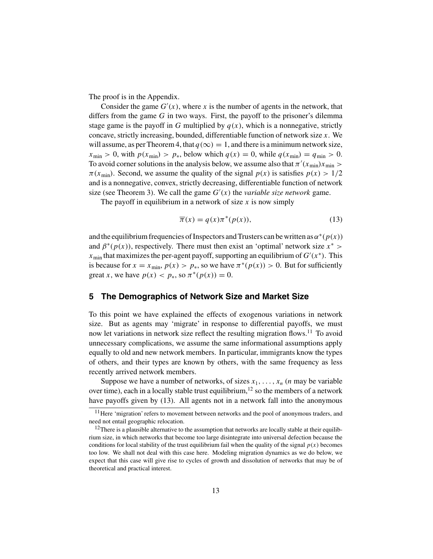The proof is in the Appendix.

Consider the game  $G'(x)$ , where x is the number of agents in the network, that differs from the game  $G$  in two ways. First, the payoff to the prisoner's dilemma stage game is the payoff in G multiplied by  $q(x)$ , which is a nonnegative, strictly concave, strictly increasing, bounded, differentiable function of network size  $x$ . We will assume, as per Theorem 4, that  $q(\infty) = 1$ , and there is a minimum network size,  $x_{\min} > 0$ , with  $p(x_{\min}) > p_{*}$ , below which  $q(x) = 0$ , while  $q(x_{\min}) = q_{\min} > 0$ . To avoid corner solutions in the analysis below, we assume also that  $\pi'(x_{\min})x_{\min} >$  $\pi(x_{\min})$ . Second, we assume the quality of the signal  $p(x)$  is satisfies  $p(x) > 1/2$ and is a nonnegative, convex, strictly decreasing, differentiable function of network size (see Theorem 3). We call the game  $G'(x)$  the *variable size network* game.

The payoff in equilibrium in a network of size  $x$  is now simply

$$
\overline{\pi}(x) = q(x)\pi^*(p(x)),\tag{13}
$$

and the equilibrium frequencies of Inspectors and Trusters can be written as  $\alpha^*(p(x))$ and  $\beta^*(p(x))$ , respectively. There must then exist an 'optimal' network size  $x^*$  >  $x_{\text{min}}$  that maximizes the per-agent payoff, supporting an equilibrium of  $G'(x^*)$ . This is because for  $x = x_{\text{min}}$ ,  $p(x) > p_{*}$ , so we have  $\pi^{*}(p(x)) > 0$ . But for sufficiently great x, we have  $p(x) < p_{*}$ , so  $\pi^{*}(p(x)) = 0$ .

#### **5 The Demographics of Network Size and Market Size**

To this point we have explained the effects of exogenous variations in network size. But as agents may 'migrate' in response to differential payoffs, we must now let variations in network size reflect the resulting migration flows.<sup>11</sup> To avoid unnecessary complications, we assume the same informational assumptions apply equally to old and new network members. In particular, immigrants know the types of others, and their types are known by others, with the same frequency as less recently arrived network members.

Suppose we have a number of networks, of sizes  $x_1, \ldots, x_n$  (*n* may be variable over time), each in a locally stable trust equilibrium,  $12$  so the members of a network have payoffs given by (13). All agents not in a network fall into the anonymous

 $11$  Here 'migration' refers to movement between networks and the pool of anonymous traders, and need not entail geographic relocation.

 $12$ There is a plausible alternative to the assumption that networks are locally stable at their equilibrium size, in which networks that become too large disintegrate into universal defection because the conditions for local stability of the trust equilibrium fail when the quality of the signal  $p(x)$  becomes too low. We shall not deal with this case here. Modeling migration dynamics as we do below, we expect that this case will give rise to cycles of growth and dissolution of networks that may be of theoretical and practical interest.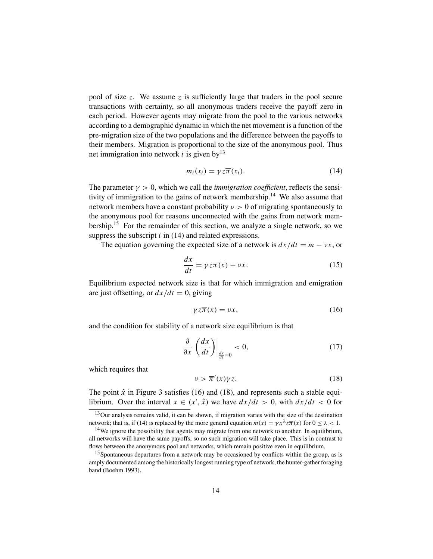pool of size  $z$ . We assume  $z$  is sufficiently large that traders in the pool secure transactions with certainty, so all anonymous traders receive the payoff zero in each period. However agents may migrate from the pool to the various networks according to a demographic dynamic in which the net movement is a function of the pre-migration size of the two populations and the difference between the payoffs to their members. Migration is proportional to the size of the anonymous pool. Thus net immigration into network *i* is given by<sup>13</sup>

$$
m_i(x_i) = \gamma z \overline{\pi}(x_i). \tag{14}
$$

The parameter  $\gamma > 0$ , which we call the *immigration coefficient*, reflects the sensitivity of immigration to the gains of network membership.<sup>14</sup> We also assume that network members have a constant probability  $v > 0$  of migrating spontaneously to the anonymous pool for reasons unconnected with the gains from network membership.<sup>15</sup> For the remainder of this section, we analyze a single network, so we suppress the subscript  $i$  in (14) and related expressions.

The equation governing the expected size of a network is  $dx/dt = m - \nu x$ , or

$$
\frac{dx}{dt} = \gamma z \overline{\pi}(x) - \nu x.
$$
 (15)

Equilibrium expected network size is that for which immigration and emigration are just offsetting, or  $dx/dt = 0$ , giving

$$
\gamma z \overline{\pi}(x) = \nu x,\tag{16}
$$

and the condition for stability of a network size equilibrium is that

$$
\frac{\partial}{\partial x} \left( \frac{dx}{dt} \right) \Big|_{\frac{dx}{dt} = 0} < 0,\tag{17}
$$

which requires that

$$
\nu > \overline{\pi}'(x)\gamma z.
$$
 (18)

The point  $\hat{x}$  in Figure 3 satisfies (16) and (18), and represents such a stable equilibrium. Over the interval  $x \in (x', \hat{x})$  we have  $dx/dt > 0$ , with  $dx/dt < 0$  for

 $13$ Our analysis remains valid, it can be shown, if migration varies with the size of the destination network; that is, if (14) is replaced by the more general equation  $m(x) = \gamma x^{\lambda} z \overline{\pi}(x)$  for  $0 \le \lambda < 1$ .

 $14$ We ignore the possibility that agents may migrate from one network to another. In equilibrium, all networks will have the same payoffs, so no such migration will take place. This is in contrast to flows between the anonymous pool and networks, which remain positive even in equilibrium.

<sup>&</sup>lt;sup>15</sup>Spontaneous departures from a network may be occasioned by conflicts within the group, as is amply documented among the historically longest running type of network, the hunter-gather foraging band (Boehm 1993).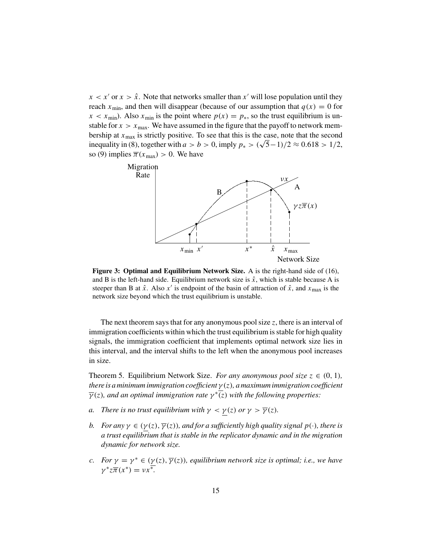$x < x'$  or  $x > \hat{x}$ . Note that networks smaller than x' will lose population until they reach  $x_{\text{min}}$ , and then will disappear (because of our assumption that  $q(x) = 0$  for  $x < x_{\text{min}}$ ). Also  $x_{\text{min}}$  is the point where  $p(x) = p_{*}$ , so the trust equilibrium is unstable for  $x > x_{\text{max}}$ . We have assumed in the figure that the payoff to network membership at  $x_{\text{max}}$  is strictly positive. To see that this is the case, note that the second bership at  $x_{\text{max}}$  is strictly positive. To see that this is the case, note that the second<br>inequality in (8), together with  $a > b > 0$ , imply  $p_* > (\sqrt{5}-1)/2 \approx 0.618 > 1/2$ , so (9) implies  $\overline{\pi}(x_{\text{max}}) > 0$ . We have



**Figure 3: Optimal and Equilibrium Network Size.** A is the right-hand side of (16), and B is the left-hand side. Equilibrium network size is  $\hat{x}$ , which is stable because A is steeper than B at  $\hat{x}$ . Also x' is endpoint of the basin of attraction of  $\hat{x}$ , and  $x_{\text{max}}$  is the network size beyond which the trust equilibrium is unstable.

The next theorem says that for any anonymous pool size  $z$ , there is an interval of immigration coefficients within which the trust equilibrium is stable for high quality signals, the immigration coefficient that implements optimal network size lies in this interval, and the interval shifts to the left when the anonymous pool increases in size.

Theorem 5. Equilibrium Network Size. *For any anonymous pool size*  $z \in (0, 1)$ *, there is a minimum immigration coefficient* γ (z)*, a maximum immigration coefficient*  $\overline{\gamma}(z)$ *, and an optimal immigration rate*  $\gamma^*(z)$  *with the following properties:* 

- *a. There is no trust equilibrium with*  $\gamma < \gamma(z)$  *or*  $\gamma > \overline{\gamma}(z)$ *.*
- *b.* For any  $\gamma \in (\gamma(z), \overline{\gamma}(z))$ , and for a sufficiently high quality signal  $p(\cdot)$ , there is *a trust equilibrium that is stable in the replicator dynamic and in the migration dynamic for network size.*
- *c.* For  $\gamma = \gamma^* \in (\gamma(z), \overline{\gamma}(z))$ , equilibrium network size is optimal; i.e., we have  $\gamma^* z \overline{\pi}(x^*) = \nu x^*$ .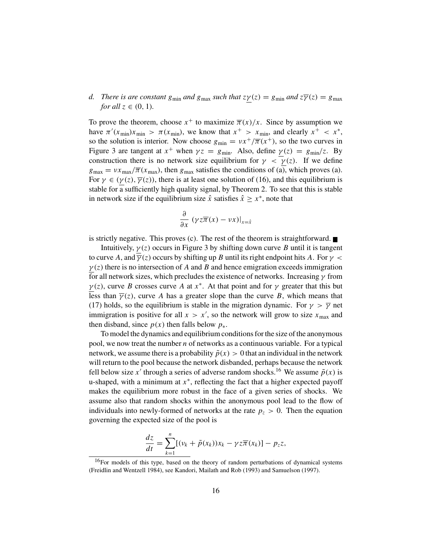#### *d.* There is are constant  $g_{\text{min}}$  and  $g_{\text{max}}$  such that  $z\gamma(z) = g_{\text{min}}$  and  $z\overline{\gamma}(z) = g_{\text{max}}$ *for all*  $z \in (0, 1)$ *.*

To prove the theorem, choose  $x^+$  to maximize  $\overline{\pi}(x)/x$ . Since by assumption we have  $\pi'(x_{\min})x_{\min} > \pi(x_{\min})$ , we know that  $x^+ > x_{\min}$ , and clearly  $x^+ < x^*$ , so the solution is interior. Now choose  $g_{\text{min}} = \nu x^+ / \overline{\pi}(x^+)$ , so the two curves in Figure 3 are tangent at  $x^+$  when  $\gamma z = g_{\text{min}}$ . Also, define  $\gamma(z) = g_{\text{min}}/z$ . By construction there is no network size equilibrium for  $\gamma < \gamma(z)$ . If we define  $g_{\text{max}} = v x_{\text{max}} / \overline{\pi}(x_{\text{max}})$ , then  $g_{\text{max}}$  satisfies the conditions of (a), which proves (a). For  $\gamma \in (\gamma(z), \overline{\gamma}(z))$ , there is at least one solution of (16), and this equilibrium is stable for a sufficiently high quality signal, by Theorem 2. To see that this is stable in network size if the equilibrium size  $\hat{x}$  satisfies  $\hat{x} \geq x^*$ , note that

$$
\frac{\partial}{\partial x} \left( \gamma z \overline{\pi}(x) - \nu x \right)|_{x = \hat{x}}
$$

is strictly negative. This proves (c). The rest of the theorem is straightforward.

Intuitively,  $\gamma(z)$  occurs in Figure 3 by shifting down curve B until it is tangent to curve A, and  $\overline{\gamma}(z)$  occurs by shifting up B until its right endpoint hits A. For  $\gamma$  <  $\gamma(z)$  there is no intersection of A and B and hence emigration exceeds immigration for all network sizes, which precludes the existence of networks. Increasing  $\gamma$  from  $\gamma(z)$ , curve B crosses curve A at x<sup>\*</sup>. At that point and for  $\gamma$  greater that this but less than  $\overline{\gamma}(z)$ , curve A has a greater slope than the curve B, which means that (17) holds, so the equilibrium is stable in the migration dynamic. For  $\gamma > \overline{\gamma}$  net immigration is positive for all  $x > x'$ , so the network will grow to size  $x_{\text{max}}$  and then disband, since  $p(x)$  then falls below  $p_{*}$ .

To model the dynamics and equilibrium conditions for the size of the anonymous pool, we now treat the number  $n$  of networks as a continuous variable. For a typical network, we assume there is a probability  $\tilde{p}(x) > 0$  that an individual in the network will return to the pool because the network disbanded, perhaps because the network fell below size x' through a series of adverse random shocks.<sup>16</sup> We assume  $\tilde{p}(x)$  is u-shaped, with a minimum at  $x^*$ , reflecting the fact that a higher expected payoff makes the equilibrium more robust in the face of a given series of shocks. We assume also that random shocks within the anonymous pool lead to the flow of individuals into newly-formed of networks at the rate  $p_z > 0$ . Then the equation governing the expected size of the pool is

$$
\frac{dz}{dt} = \sum_{k=1}^{n} [(v_k + \tilde{p}(x_k))x_k - \gamma z \overline{\pi}(x_k)] - p_z z,
$$

<sup>&</sup>lt;sup>16</sup>For models of this type, based on the theory of random perturbations of dynamical systems (Freidlin and Wentzell 1984), see Kandori, Mailath and Rob (1993) and Samuelson (1997).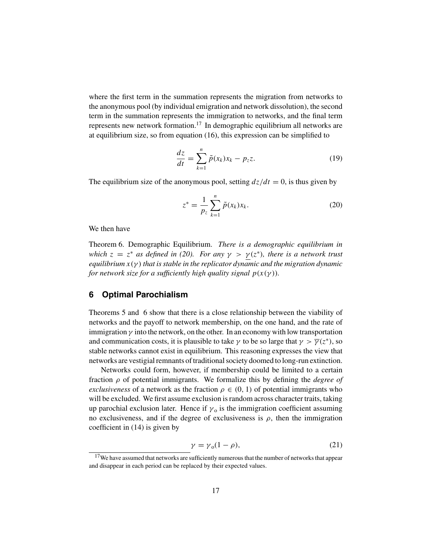where the first term in the summation represents the migration from networks to the anonymous pool (by individual emigration and network dissolution), the second term in the summation represents the immigration to networks, and the final term represents new network formation.<sup>17</sup> In demographic equilibrium all networks are at equilibrium size, so from equation (16), this expression can be simplified to

$$
\frac{dz}{dt} = \sum_{k=1}^{n} \tilde{p}(x_k) x_k - p_z z.
$$
 (19)

The equilibrium size of the anonymous pool, setting  $dz/dt = 0$ , is thus given by

$$
z^* = \frac{1}{p_z} \sum_{k=1}^n \tilde{p}(x_k) x_k.
$$
 (20)

We then have

Theorem 6. Demographic Equilibrium. *There is a demographic equilibrium in which*  $z = z^*$  *as defined in (20). For any*  $\gamma > \gamma(z^*)$ *, there is a network trust equilibrium* x(γ ) *that is stable in the replicator dynamic and the migration dynamic for network size for a sufficiently high quality signal*  $p(x(y))$ *.* 

#### **6 Optimal Parochialism**

Theorems 5 and 6 show that there is a close relationship between the viability of networks and the payoff to network membership, on the one hand, and the rate of immigration  $\gamma$  into the network, on the other. In an economy with low transportation and communication costs, it is plausible to take  $\gamma$  to be so large that  $\gamma > \overline{\gamma}(z^*)$ , so stable networks cannot exist in equilibrium. This reasoning expresses the view that networks are vestigial remnants of traditional society doomed to long-run extinction.

Networks could form, however, if membership could be limited to a certain fraction ρ of potential immigrants. We formalize this by defining the *degree of exclusiveness* of a network as the fraction  $\rho \in (0, 1)$  of potential immigrants who will be excluded. We first assume exclusion is random across character traits, taking up parochial exclusion later. Hence if  $\gamma_0$  is the immigration coefficient assuming no exclusiveness, and if the degree of exclusiveness is  $\rho$ , then the immigration coefficient in (14) is given by

$$
\gamma = \gamma_0 (1 - \rho),\tag{21}
$$

<sup>&</sup>lt;sup>17</sup>We have assumed that networks are sufficiently numerous that the number of networks that appear and disappear in each period can be replaced by their expected values.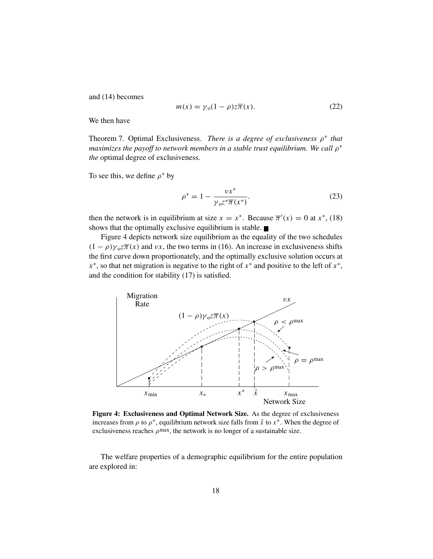and (14) becomes

$$
m(x) = \gamma_0 (1 - \rho) z \overline{\pi}(x). \tag{22}
$$

We then have

Theorem 7. Optimal Exclusiveness. *There is a degree of exclusiveness* ρ<sup>∗</sup> *that maximizes the payoff to network members in a stable trust equilibrium. We call*  $\rho^*$ *the* optimal degree of exclusiveness*.*

To see this, we define  $\rho^*$  by

$$
\rho^* = 1 - \frac{\nu x^*}{\gamma_0 z^* \overline{\pi}(x^*)}.
$$
\n(23)

then the network is in equilibrium at size  $x = x^*$ . Because  $\overline{\pi}'(x) = 0$  at  $x^*$ , (18) shows that the optimally exclusive equilibrium is stable.

Figure 4 depicts network size equilibrium as the equality of the two schedules  $(1 - \rho)\gamma_0 z \overline{\pi}(x)$  and vx, the two terms in (16). An increase in exclusiveness shifts the first curve down proportionately, and the optimally exclusive solution occurs at  $x^*$ , so that net migration is negative to the right of  $x^*$  and positive to the left of  $x^*$ , and the condition for stability (17) is satisfied.



**Figure 4: Exclusiveness and Optimal Network Size.** As the degree of exclusiveness increases from  $\rho$  to  $\rho^*$ , equilibrium network size falls from  $\hat{x}$  to  $x^*$ . When the degree of exclusiveness reaches  $\rho$ <sup>max</sup>, the network is no longer of a sustainable size.

The welfare properties of a demographic equilibrium for the entire population are explored in: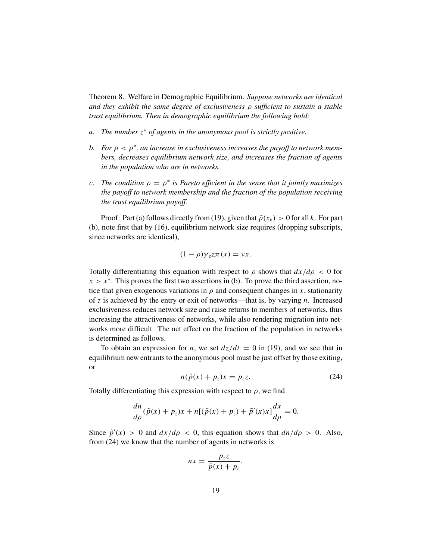Theorem 8. Welfare in Demographic Equilibrium. *Suppose networks are identical and they exhibit the same degree of exclusiveness* ρ *sufficient to sustain a stable trust equilibrium. Then in demographic equilibrium the following hold:*

- *a. The number* z<sup>∗</sup> *of agents in the anonymous pool is strictly positive.*
- *b.* For  $\rho < \rho^*$ , an increase in exclusiveness increases the payoff to network mem*bers, decreases equilibrium network size, and increases the fraction of agents in the population who are in networks.*
- *c.* The condition  $\rho = \rho^*$  is Pareto efficient in the sense that it jointly maximizes *the payoff to network membership and the fraction of the population receiving the trust equilibrium payoff.*

Proof: Part (a) follows directly from (19), given that  $\tilde{p}(x_k) > 0$  for all k. For part (b), note first that by (16), equilibrium network size requires (dropping subscripts, since networks are identical),

$$
(1 - \rho) \gamma_0 z \overline{\pi}(x) = \nu x.
$$

Totally differentiating this equation with respect to  $\rho$  shows that  $dx/d\rho < 0$  for  $x > x^*$ . This proves the first two assertions in (b). To prove the third assertion, notice that given exogenous variations in  $\rho$  and consequent changes in x, stationarity of z is achieved by the entry or exit of networks—that is, by varying n. Increased exclusiveness reduces network size and raise returns to members of networks, thus increasing the attractiveness of networks, while also rendering migration into networks more difficult. The net effect on the fraction of the population in networks is determined as follows.

To obtain an expression for *n*, we set  $dz/dt = 0$  in (19), and we see that in equilibrium new entrants to the anonymous pool must be just offset by those exiting, or

$$
n(\tilde{p}(x) + p_z)x = p_z z.
$$
 (24)

Totally differentiating this expression with respect to  $\rho$ , we find

$$
\frac{dn}{d\rho}(\tilde{p}(x) + p_z)x + n[(\tilde{p}(x) + p_z) + \tilde{p}'(x)x]\frac{dx}{d\rho} = 0.
$$

Since  $\tilde{p}'(x) > 0$  and  $dx/d\rho < 0$ , this equation shows that  $dn/d\rho > 0$ . Also, from (24) we know that the number of agents in networks is

$$
nx = \frac{p_z z}{\tilde{p}(x) + p_z},
$$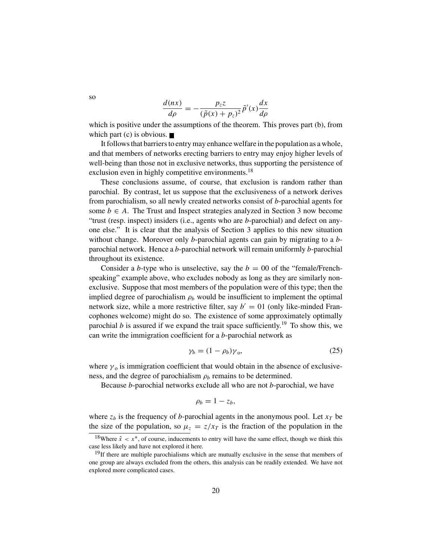$$
\frac{d(nx)}{d\rho} = -\frac{p_z z}{(\tilde{p}(x) + p_z)^2} \tilde{p}'(x) \frac{dx}{d\rho}
$$

which is positive under the assumptions of the theorem. This proves part (b), from which part (c) is obvious.  $\blacksquare$ 

It follows that barriers to entry may enhance welfare in the population as a whole, and that members of networks erecting barriers to entry may enjoy higher levels of well-being than those not in exclusive networks, thus supporting the persistence of exclusion even in highly competitive environments.<sup>18</sup>

These conclusions assume, of course, that exclusion is random rather than parochial. By contrast, let us suppose that the exclusiveness of a network derives from parochialism, so all newly created networks consist of b-parochial agents for some  $b \in A$ . The Trust and Inspect strategies analyzed in Section 3 now become "trust (resp. inspect) insiders (i.e., agents who are b-parochial) and defect on anyone else." It is clear that the analysis of Section 3 applies to this new situation without change. Moreover only  $b$ -parochial agents can gain by migrating to a  $b$ parochial network. Hence a b-parochial network will remain uniformly b-parochial throughout its existence.

Consider a b-type who is unselective, say the  $b = 00$  of the "female/Frenchspeaking" example above, who excludes nobody as long as they are similarly nonexclusive. Suppose that most members of the population were of this type; then the implied degree of parochialism  $\rho_b$  would be insufficient to implement the optimal network size, while a more restrictive filter, say  $b' = 01$  (only like-minded Francophones welcome) might do so. The existence of some approximately optimally parochial  $b$  is assured if we expand the trait space sufficiently.<sup>19</sup> To show this, we can write the immigration coefficient for a b-parochial network as

$$
\gamma_b = (1 - \rho_b)\gamma_o,\tag{25}
$$

where  $\gamma_0$  is immigration coefficient that would obtain in the absence of exclusiveness, and the degree of parochialism  $\rho_b$  remains to be determined.

Because b-parochial networks exclude all who are not b-parochial, we have

$$
\rho_b=1-z_b,
$$

where  $z_b$  is the frequency of b-parochial agents in the anonymous pool. Let  $x_T$  be the size of the population, so  $\mu_z = z/x_T$  is the fraction of the population in the

so

<sup>&</sup>lt;sup>18</sup>Where  $\hat{x} < x^*$ , of course, inducements to entry will have the same effect, though we think this case less likely and have not explored it here.

<sup>&</sup>lt;sup>19</sup>If there are multiple parochialisms which are mutually exclusive in the sense that members of one group are always excluded from the others, this analysis can be readily extended. We have not explored more complicated cases.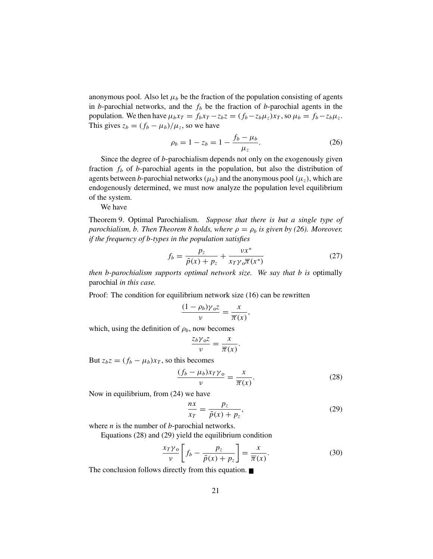anonymous pool. Also let  $\mu_b$  be the fraction of the population consisting of agents in b-parochial networks, and the  $f<sub>b</sub>$  be the fraction of b-parochial agents in the population. We then have  $\mu_b x_T = f_b x_T - z_b z = (f_b - z_b \mu_z) x_T$ , so  $\mu_b = f_b - z_b \mu_z$ . This gives  $z_b = (f_b - \mu_b)/\mu_z$ , so we have

$$
\rho_b = 1 - z_b = 1 - \frac{f_b - \mu_b}{\mu_z}.
$$
\n(26)

Since the degree of b-parochialism depends not only on the exogenously given fraction  $f_b$  of b-parochial agents in the population, but also the distribution of agents between b-parochial networks ( $\mu_b$ ) and the anonymous pool ( $\mu_z$ ), which are endogenously determined, we must now analyze the population level equilibrium of the system.

We have

Theorem 9. Optimal Parochialism. *Suppose that there is but a single type of parochialism, b. Then Theorem 8 holds, where*  $\rho = \rho_b$  *is given by (26). Moreover, if the frequency of* b*-types in the population satisfies*

$$
f_b = \frac{p_z}{\tilde{p}(x) + p_z} + \frac{\nu x^*}{x_T \gamma_0 \overline{\pi}(x^*)}
$$
(27)

*then* b*-parochialism supports optimal network size. We say that* b *is* optimally parochial *in this case.*

Proof: The condition for equilibrium network size (16) can be rewritten

$$
\frac{(1-\rho_b)\gamma_0 z}{\nu} = \frac{x}{\overline{\pi}(x)},
$$

which, using the definition of  $\rho_b$ , now becomes

$$
\frac{z_b \gamma_0 z}{\nu} = \frac{x}{\overline{\pi}(x)}.
$$

But  $z_b z = (f_b - \mu_b) x_T$ , so this becomes

$$
\frac{(f_b - \mu_b)x_T \gamma_0}{\nu} = \frac{x}{\overline{\pi}(x)}.
$$
\n(28)

Now in equilibrium, from (24) we have

$$
\frac{nx}{x_T} = \frac{p_z}{\tilde{p}(x) + p_z},\tag{29}
$$

where  $n$  is the number of  $b$ -parochial networks.

Equations (28) and (29) yield the equilibrium condition

$$
\frac{x_T \gamma_0}{\nu} \left[ f_b - \frac{p_z}{\tilde{p}(x) + p_z} \right] = \frac{x}{\overline{\pi}(x)}.
$$
 (30)

The conclusion follows directly from this equation.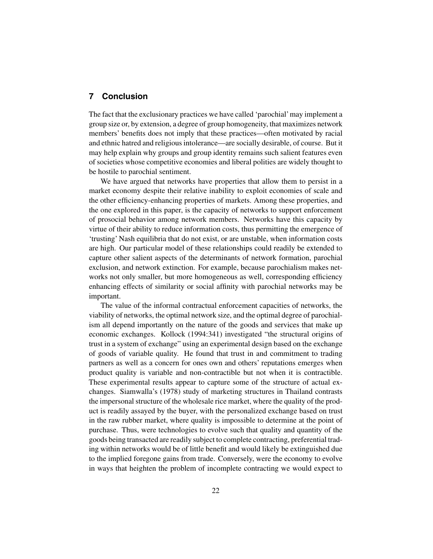#### **7 Conclusion**

The fact that the exclusionary practices we have called 'parochial'may implement a group size or, by extension, a degree of group homogeneity, that maximizes network members' benefits does not imply that these practices—often motivated by racial and ethnic hatred and religious intolerance—are socially desirable, of course. But it may help explain why groups and group identity remains such salient features even of societies whose competitive economies and liberal polities are widely thought to be hostile to parochial sentiment.

We have argued that networks have properties that allow them to persist in a market economy despite their relative inability to exploit economies of scale and the other efficiency-enhancing properties of markets. Among these properties, and the one explored in this paper, is the capacity of networks to support enforcement of prosocial behavior among network members. Networks have this capacity by virtue of their ability to reduce information costs, thus permitting the emergence of 'trusting' Nash equilibria that do not exist, or are unstable, when information costs are high. Our particular model of these relationships could readily be extended to capture other salient aspects of the determinants of network formation, parochial exclusion, and network extinction. For example, because parochialism makes networks not only smaller, but more homogeneous as well, corresponding efficiency enhancing effects of similarity or social affinity with parochial networks may be important.

The value of the informal contractual enforcement capacities of networks, the viability of networks, the optimal network size, and the optimal degree of parochialism all depend importantly on the nature of the goods and services that make up economic exchanges. Kollock (1994:341) investigated "the structural origins of trust in a system of exchange" using an experimental design based on the exchange of goods of variable quality. He found that trust in and commitment to trading partners as well as a concern for ones own and others' reputations emerges when product quality is variable and non-contractible but not when it is contractible. These experimental results appear to capture some of the structure of actual exchanges. Siamwalla's (1978) study of marketing structures in Thailand contrasts the impersonal structure of the wholesale rice market, where the quality of the product is readily assayed by the buyer, with the personalized exchange based on trust in the raw rubber market, where quality is impossible to determine at the point of purchase. Thus, were technologies to evolve such that quality and quantity of the goods being transacted are readily subject to complete contracting, preferential trading within networks would be of little benefit and would likely be extinguished due to the implied foregone gains from trade. Conversely, were the economy to evolve in ways that heighten the problem of incomplete contracting we would expect to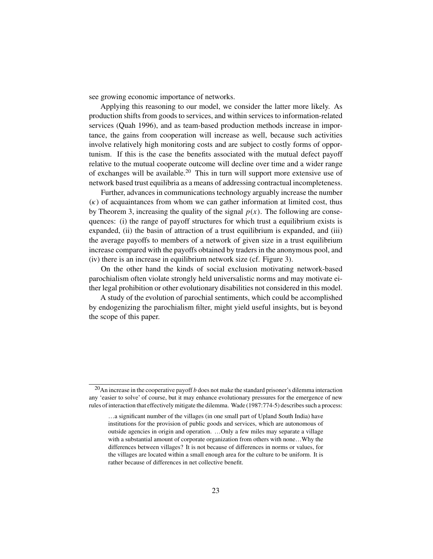see growing economic importance of networks.

Applying this reasoning to our model, we consider the latter more likely. As production shifts from goods to services, and within services to information-related services (Quah 1996), and as team-based production methods increase in importance, the gains from cooperation will increase as well, because such activities involve relatively high monitoring costs and are subject to costly forms of opportunism. If this is the case the benefits associated with the mutual defect payoff relative to the mutual cooperate outcome will decline over time and a wider range of exchanges will be available.<sup>20</sup> This in turn will support more extensive use of network based trust equilibria as a means of addressing contractual incompleteness.

Further, advances in communications technology arguably increase the number  $(k)$  of acquaintances from whom we can gather information at limited cost, thus by Theorem 3, increasing the quality of the signal  $p(x)$ . The following are consequences: (i) the range of payoff structures for which trust a equilibrium exists is expanded, (ii) the basin of attraction of a trust equilibrium is expanded, and (iii) the average payoffs to members of a network of given size in a trust equilibrium increase compared with the payoffs obtained by traders in the anonymous pool, and (iv) there is an increase in equilibrium network size (cf. Figure 3).

On the other hand the kinds of social exclusion motivating network-based parochialism often violate strongly held universalistic norms and may motivate either legal prohibition or other evolutionary disabilities not considered in this model.

A study of the evolution of parochial sentiments, which could be accomplished by endogenizing the parochialism filter, might yield useful insights, but is beyond the scope of this paper.

 $^{20}$ An increase in the cooperative payoff b does not make the standard prisoner's dilemma interaction any 'easier to solve' of course, but it may enhance evolutionary pressures for the emergence of new rules of interaction that effectively mitigate the dilemma. Wade (1987:774-5) describes such a process:

<sup>…</sup>a significant number of the villages (in one small part of Upland South India) have institutions for the provision of public goods and services, which are autonomous of outside agencies in origin and operation. …Only a few miles may separate a village with a substantial amount of corporate organization from others with none…Why the differences between villages? It is not because of differences in norms or values, for the villages are located within a small enough area for the culture to be uniform. It is rather because of differences in net collective benefit.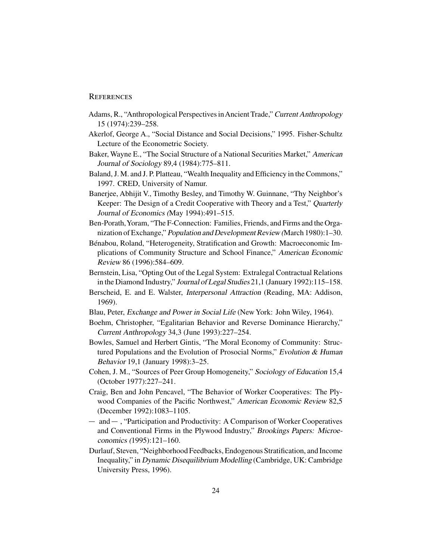#### **REFERENCES**

- Adams, R., "Anthropological Perspectives inAncient Trade," Current Anthropology 15 (1974):239–258.
- Akerlof, George A., "Social Distance and Social Decisions," 1995. Fisher-Schultz Lecture of the Econometric Society.
- Baker, Wayne E., "The Social Structure of a National Securities Market," American Journal of Sociology 89,4 (1984):775–811.
- Baland, J. M. and J. P. Platteau, "Wealth Inequality and Efficiency in the Commons," 1997. CRED, University of Namur.
- Banerjee, Abhijit V., Timothy Besley, and Timothy W. Guinnane, "Thy Neighbor's Keeper: The Design of a Credit Cooperative with Theory and a Test," Quarterly Journal of Economics (May 1994):491–515.
- Ben-Porath,Yoram, "The F-Connection: Families, Friends, and Firms and the Organization of Exchange," Population and Development Review (March 1980):1–30.
- Bénabou, Roland, "Heterogeneity, Stratification and Growth: Macroeconomic Implications of Community Structure and School Finance," American Economic Review 86 (1996):584–609.
- Bernstein, Lisa, "Opting Out of the Legal System: Extralegal Contractual Relations in the Diamond Industry," Journal of Legal Studies 21,1 (January 1992):115–158.
- Berscheid, E. and E. Walster, Interpersonal Attraction (Reading, MA: Addison, 1969).
- Blau, Peter, Exchange and Power in Social Life (New York: John Wiley, 1964).
- Boehm, Christopher, "Egalitarian Behavior and Reverse Dominance Hierarchy," Current Anthropology 34,3 (June 1993):227–254.
- Bowles, Samuel and Herbert Gintis, "The Moral Economy of Community: Structured Populations and the Evolution of Prosocial Norms," Evolution  $\&$  Human Behavior 19,1 (January 1998):3–25.
- Cohen, J. M., "Sources of Peer Group Homogeneity," Sociology of Education 15,4 (October 1977):227–241.
- Craig, Ben and John Pencavel, "The Behavior of Worker Cooperatives: The Plywood Companies of the Pacific Northwest," American Economic Review 82,5 (December 1992):1083–1105.
- $-$  and  $-$ , "Participation and Productivity: A Comparison of Worker Cooperatives and Conventional Firms in the Plywood Industry," Brookings Papers: Microeconomics (1995):121–160.
- Durlauf, Steven, "Neighborhood Feedbacks, Endogenous Stratification, and Income Inequality," in Dynamic Disequilibrium Modelling (Cambridge, UK: Cambridge University Press, 1996).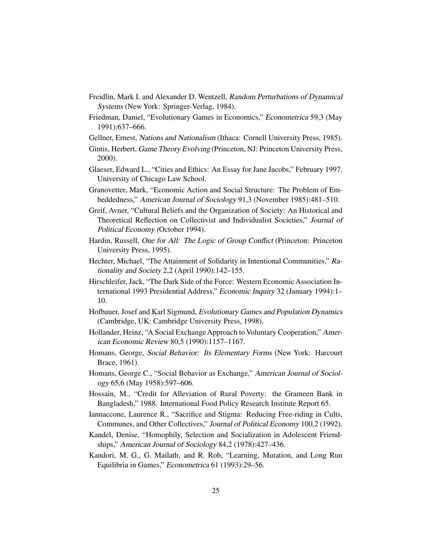- Freidlin, Mark I. and Alexander D. Wentzell, Random Perturbations of Dynamical Systems (New York: Springer-Verlag, 1984).
- Friedman, Daniel, "Evolutionary Games in Economics," Econometrica 59,3 (May 1991):637–666.
- Gellner, Ernest, Nations and Nationalism (Ithaca: Cornell University Press, 1985).
- Gintis, Herbert, Game Theory Evolving (Princeton, NJ: Princeton University Press, 2000).
- Glaeser, Edward L., "Cities and Ethics: An Essay for Jane Jacobs," February 1997. University of Chicago Law School.
- Granovetter, Mark, "Economic Action and Social Structure: The Problem of Embeddedness," American Journal of Sociology 91,3 (November 1985):481–510.
- Greif, Avner, "Cultural Beliefs and the Organization of Society: An Historical and Theoretical Reflection on Collectivist and Individualist Societies," Journal of Political Economy (October 1994).
- Hardin, Russell, One for All: The Logic of Group Conflict (Princeton: Princeton University Press, 1995).
- Hechter, Michael, "The Attainment of Solidarity in Intentional Communities," Rationality and Society 2,2 (April 1990):142–155.
- Hirschleifer, Jack, "The Dark Side of the Force: Western Economic Association International 1993 Presidential Address," Economic Inquiry 32 (January 1994):1– 10.
- Hofbauer, Josef and Karl Sigmund, Evolutionary Games and Population Dynamics (Cambridge, UK: Cambridge University Press, 1998).
- Hollander, Heinz, "A Social Exchange Approach to Voluntary Cooperation," American Economic Review 80,5 (1990):1157–1167.
- Homans, George, Social Behavior: Its Elementary Forms (New York: Harcourt Brace, 1961).
- Homans, George C., "Social Behavior as Exchange," American Journal of Sociology 65,6 (May 1958):597–606.
- Hossain, M., "Credit for Alleviation of Rural Poverty: the Grameen Bank in Bangladesh," 1988. International Food Policy Research Institute Report 65.
- Iannaccone, Laurence R., "Sacrifice and Stigma: Reducing Free-riding in Cults, Communes, and Other Collectives," Journal of Political Economy 100,2 (1992).
- Kandel, Denise, "Homophily, Selection and Socialization in Adolescent Friendships," American Journal of Sociology 84,2 (1978):427–436.
- Kandori, M. G., G. Mailath, and R. Rob, "Learning, Mutation, and Long Run Equilibria in Games," Econometrica 61 (1993):29–56.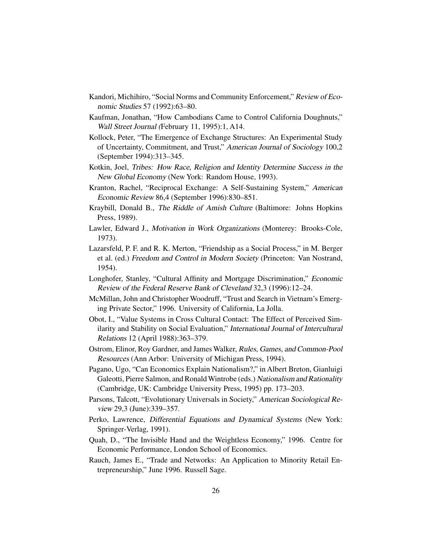- Kandori, Michihiro, "Social Norms and Community Enforcement," Review of Economic Studies 57 (1992):63–80.
- Kaufman, Jonathan, "How Cambodians Came to Control California Doughnuts," Wall Street Journal (February 11, 1995):1, A14.
- Kollock, Peter, "The Emergence of Exchange Structures: An Experimental Study of Uncertainty, Commitment, and Trust," American Journal of Sociology 100,2 (September 1994):313–345.
- Kotkin, Joel, Tribes: How Race, Religion and Identity Determine Success in the New Global Economy (New York: Random House, 1993).
- Kranton, Rachel, "Reciprocal Exchange: A Self-Sustaining System," American Economic Review 86,4 (September 1996):830–851.
- Kraybill, Donald B., The Riddle of Amish Culture (Baltimore: Johns Hopkins Press, 1989).
- Lawler, Edward J., Motivation in Work Organizations (Monterey: Brooks-Cole, 1973).
- Lazarsfeld, P. F. and R. K. Merton, "Friendship as a Social Process," in M. Berger et al. (ed.) Freedom and Control in Modern Society (Princeton: Van Nostrand, 1954).
- Longhofer, Stanley, "Cultural Affinity and Mortgage Discrimination," Economic Review of the Federal Reserve Bank of Cleveland 32,3 (1996):12–24.
- McMillan, John and Christopher Woodruff, "Trust and Search in Vietnam's Emerging Private Sector," 1996. University of California, La Jolla.
- Obot, I., "Value Systems in Cross Cultural Contact: The Effect of Perceived Similarity and Stability on Social Evaluation," International Journal of Intercultural Relations 12 (April 1988):363–379.
- Ostrom, Elinor, Roy Gardner, and James Walker, Rules, Games, and Common-Pool Resources (Ann Arbor: University of Michigan Press, 1994).
- Pagano, Ugo, "Can Economics Explain Nationalism?," in Albert Breton, Gianluigi Galeotti, Pierre Salmon, and Ronald Wintrobe (eds.) Nationalism and Rationality (Cambridge, UK: Cambridge University Press, 1995) pp. 173–203.
- Parsons, Talcott, "Evolutionary Universals in Society," American Sociological Review 29,3 (June):339–357.
- Perko, Lawrence, Differential Equations and Dynamical Systems (New York: Springer-Verlag, 1991).
- Quah, D., "The Invisible Hand and the Weightless Economy," 1996. Centre for Economic Performance, London School of Economics.
- Rauch, James E., "Trade and Networks: An Application to Minority Retail Entrepreneurship," June 1996. Russell Sage.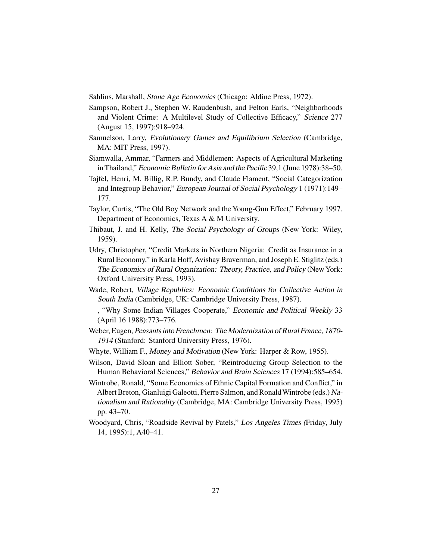Sahlins, Marshall, Stone Age Economics (Chicago: Aldine Press, 1972).

- Sampson, Robert J., Stephen W. Raudenbush, and Felton Earls, "Neighborhoods and Violent Crime: A Multilevel Study of Collective Efficacy," Science 277 (August 15, 1997):918–924.
- Samuelson, Larry, Evolutionary Games and Equilibrium Selection (Cambridge, MA: MIT Press, 1997).
- Siamwalla, Ammar, "Farmers and Middlemen: Aspects of Agricultural Marketing in Thailand," Economic Bulletin for Asia and the Pacific 39,1 (June 1978):38–50.
- Tajfel, Henri, M. Billig, R.P. Bundy, and Claude Flament, "Social Categorization and Integroup Behavior," European Journal of Social Psychology 1 (1971):149– 177.
- Taylor, Curtis, "The Old Boy Network and the Young-Gun Effect," February 1997. Department of Economics, Texas A & M University.
- Thibaut, J. and H. Kelly, The Social Psychology of Groups (New York: Wiley, 1959).
- Udry, Christopher, "Credit Markets in Northern Nigeria: Credit as Insurance in a Rural Economy," in Karla Hoff, Avishay Braverman, and Joseph E. Stiglitz (eds.) The Economics of Rural Organization: Theory, Practice, and Policy (New York: Oxford University Press, 1993).
- Wade, Robert, Village Republics: Economic Conditions for Collective Action in South India (Cambridge, UK: Cambridge University Press, 1987).
- , "Why Some Indian Villages Cooperate," Economic and Political Weekly 33 (April 16 1988):773–776.
- Weber, Eugen, Peasants into Frenchmen: The Modernization of Rural France, 1870- 1914 (Stanford: Stanford University Press, 1976).
- Whyte, William F., Money and Motivation (New York: Harper & Row, 1955).
- Wilson, David Sloan and Elliott Sober, "Reintroducing Group Selection to the Human Behavioral Sciences," Behavior and Brain Sciences 17 (1994):585–654.
- Wintrobe, Ronald, "Some Economics of Ethnic Capital Formation and Conflict," in Albert Breton, Gianluigi Galeotti, Pierre Salmon, and Ronald Wintrobe (eds.) Nationalism and Rationality (Cambridge, MA: Cambridge University Press, 1995) pp. 43–70.
- Woodyard, Chris, "Roadside Revival by Patels," Los Angeles Times (Friday, July 14, 1995):1, A40–41.